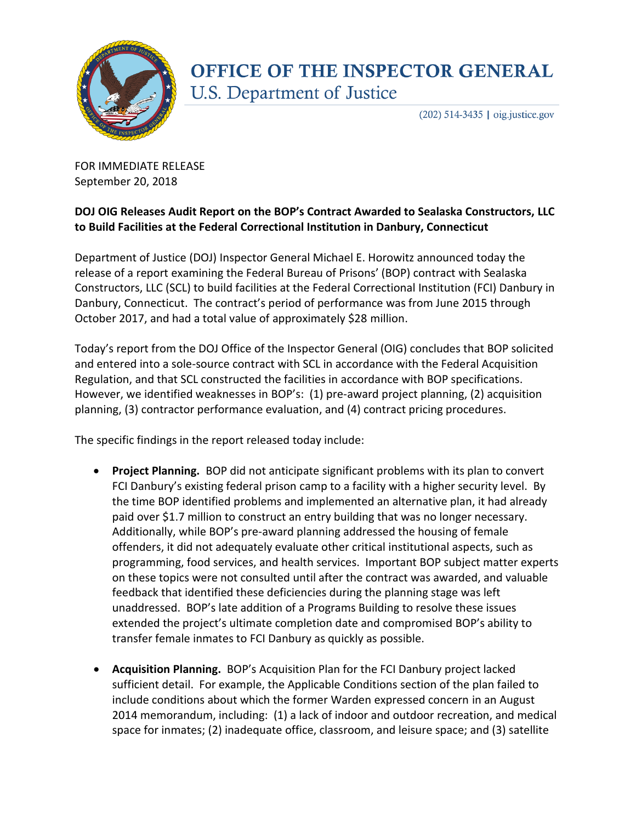

## **OFFICE OF THE INSPECTOR GENERAL U.S. Department of Justice**

 $(202)$  514-3435 | oig.justice.gov

FOR IMMEDIATE RELEASE September 20, 2018

## **DOJ OIG Releases Audit Report on the BOP's Contract Awarded to Sealaska Constructors, LLC to Build Facilities at the Federal Correctional Institution in Danbury, Connecticut**

Department of Justice (DOJ) Inspector General Michael E. Horowitz announced today the release of a report examining the Federal Bureau of Prisons' (BOP) contract with Sealaska Constructors, LLC (SCL) to build facilities at the Federal Correctional Institution (FCI) Danbury in Danbury, Connecticut. The contract's period of performance was from June 2015 through October 2017, and had a total value of approximately \$28 million.

Today's report from the DOJ Office of the Inspector General (OIG) concludes that BOP solicited and entered into a sole-source contract with SCL in accordance with the Federal Acquisition Regulation, and that SCL constructed the facilities in accordance with BOP specifications. However, we identified weaknesses in BOP's: (1) pre-award project planning, (2) acquisition planning, (3) contractor performance evaluation, and (4) contract pricing procedures.

The specific findings in the report released today include:

- **Project Planning.** BOP did not anticipate significant problems with its plan to convert FCI Danbury's existing federal prison camp to a facility with a higher security level. By the time BOP identified problems and implemented an alternative plan, it had already paid over \$1.7 million to construct an entry building that was no longer necessary. Additionally, while BOP's pre-award planning addressed the housing of female offenders, it did not adequately evaluate other critical institutional aspects, such as programming, food services, and health services. Important BOP subject matter experts on these topics were not consulted until after the contract was awarded, and valuable feedback that identified these deficiencies during the planning stage was left unaddressed. BOP's late addition of a Programs Building to resolve these issues extended the project's ultimate completion date and compromised BOP's ability to transfer female inmates to FCI Danbury as quickly as possible.
- **Acquisition Planning.** BOP's Acquisition Plan for the FCI Danbury project lacked sufficient detail. For example, the Applicable Conditions section of the plan failed to include conditions about which the former Warden expressed concern in an August 2014 memorandum, including: (1) a lack of indoor and outdoor recreation, and medical space for inmates; (2) inadequate office, classroom, and leisure space; and (3) satellite